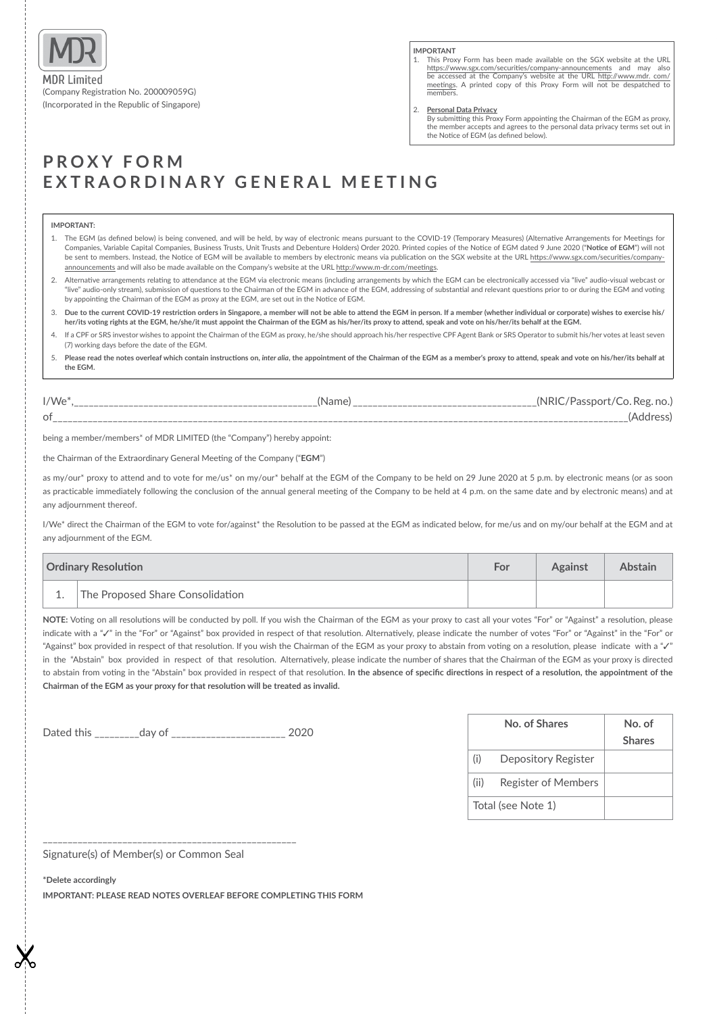

### **IMPORTANT**

This Proxy Form has been made available on the SGX website at the URL https://www.sgx.com/securities/company-announcements and may also be accessed at the Company's website at the URL http://www.mdr. com/ meetings. A printed copy of this Proxy Form will not be despatched to members

2. **Personal Data Privacy** By submitting this Proxy Form appointing the Chairman of the EGM as proxy, the member accepts and agrees to the personal data privacy terms set out in the Notice of EGM (as defined below).

# **PROXY FORM EXTRAORDINARY GENERAL MEETING**

# **IMPORTANT:**

| 1. The EGM (as defined below) is being convened, and will be held, by way of electronic means pursuant to the COVID-19 (Temporary Measures) (Alternative Arrangements for Meetings for        |
|-----------------------------------------------------------------------------------------------------------------------------------------------------------------------------------------------|
| Companies, Variable Capital Companies, Business Trusts, Unit Trusts and Debenture Holders) Order 2020. Printed copies of the Notice of EGM dated 9 June 2020 ("Notice of EGM") will not       |
| be sent to members. Instead, the Notice of EGM will be available to members by electronic means via publication on the SGX website at the URL https://www.sgx.com/securities/company-         |
| announcements and will also be made available on the Company's website at the URL http://www.m-dr.com/meetings.                                                                               |
| 2. Alternative arrangements relating to attendance at the EGM via electronic means (including arrangements by which the EGM can be electronically accessed via "live" audio-visual webcast or |

2. Alternative arrangements relating to attendance at the EGM via electronic means (including arrangements by which the EGM can be electronically accessed via "live" audio-visual webcast or "live" audio-only stream), submission of questions to the Chairman of the EGM in advance of the EGM, addressing of substantial and relevant questions prior to or during the EGM and voting by appointing the Chairman of the EGM as proxy at the EGM, are set out in the Notice of EGM.

3. **Due to the current COVID-19 restriction orders in Singapore, a member will not be able to attend the EGM in person. If a member (whether individual or corporate) wishes to exercise his/ her/its voting rights at the EGM, he/she/it must appoint the Chairman of the EGM as his/her/its proxy to attend, speak and vote on his/her/its behalf at the EGM.**

- 4. If a CPF or SRS investor wishes to appoint the Chairman of the EGM as proxy, he/she should approach his/her respective CPF Agent Bank or SRS Operator to submit his/her votes at least seven (7) working days before the date of the EGM.
- 5. **Please read the notes overleaf which contain instructions on,** *inter alia***, the appointment of the Chairman of the EGM as a member's proxy to attend, speak and vote on his/her/its behalf at the EGM.**

I/We\*,\_\_\_\_\_\_\_\_\_\_\_\_\_\_\_\_\_\_\_\_\_\_\_\_\_\_\_\_\_\_\_\_\_\_\_\_\_\_\_\_\_\_\_\_\_\_\_\_\_(Name) \_\_\_\_\_\_\_\_\_\_\_\_\_\_\_\_\_\_\_\_\_\_\_\_\_\_\_\_\_\_\_\_\_\_\_\_\_(NRIC/Passport/Co. Reg. no.) of the contract of the contract of the contract of the contract of the contract of the contract of the contract of the contract of the contract of the contract of the contract of the contract of the contract of the contrac

being a member/members\* of MDR LIMITED (the "Company") hereby appoint:

the Chairman of the Extraordinary General Meeting of the Company ("**EGM**")

as my/our\* proxy to attend and to vote for me/us\* on my/our\* behalf at the EGM of the Company to be held on 29 June 2020 at 5 p.m. by electronic means (or as soon as practicable immediately following the conclusion of the annual general meeting of the Company to be held at 4 p.m. on the same date and by electronic means) and at any adjournment thereof.

I/We\* direct the Chairman of the EGM to vote for/against\* the Resolution to be passed at the EGM as indicated below, for me/us and on my/our behalf at the EGM and at any adjournment of the EGM.

| <b>Ordinary Resolution</b> |   |                                  | For | <b>Against</b> | <b>Abstain</b> |
|----------------------------|---|----------------------------------|-----|----------------|----------------|
|                            | ᆠ | The Proposed Share Consolidation |     |                |                |

**NOTE:** Voting on all resolutions will be conducted by poll. If you wish the Chairman of the EGM as your proxy to cast all your votes "For" or "Against" a resolution, please indicate with a "✓" in the "For" or "Against" box provided in respect of that resolution. Alternatively, please indicate the number of votes "For" or "Against" in the "For" or "Against" box provided in respect of that resolution. If you wish the Chairman of the EGM as your proxy to abstain from voting on a resolution, please indicate with a "✓" in the "Abstain" box provided in respect of that resolution. Alternatively, please indicate the number of shares that the Chairman of the EGM as your proxy is directed to abstain from voting in the "Abstain" box provided in respect of that resolution. **In the absence of specific directions in respect of a resolution, the appointment of the Chairman of the EGM as your proxy for that resolution will be treated as invalid.**

Dated this \_\_\_\_\_\_\_\_\_day of \_\_\_\_\_\_\_\_\_\_\_\_\_\_\_\_\_\_\_\_\_\_\_ 2020

|      | No. of Shares              | No. of<br><b>Shares</b> |
|------|----------------------------|-------------------------|
| (i)  | Depository Register        |                         |
| (ii) | <b>Register of Members</b> |                         |
|      | Total (see Note 1)         |                         |

\_\_\_\_\_\_\_\_\_\_\_\_\_\_\_\_\_\_\_\_\_\_\_\_\_\_\_\_\_\_\_\_\_\_\_\_\_\_\_\_\_\_\_\_\_\_\_\_\_\_\_ Signature(s) of Member(s) or Common Seal

**\*Delete accordingly**

**IMPORTANT: PLEASE READ NOTES OVERLEAF BEFORE COMPLETING THIS FORM**